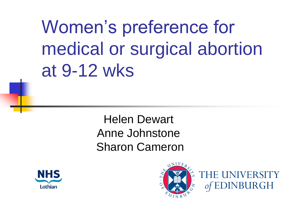Women's preference for medical or surgical abortion at 9-12 wks

> Helen Dewart Anne Johnstone Sharon Cameron





THE UNIVERSITY of EDINBURGH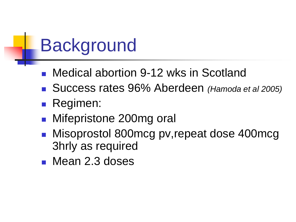## **Background**

- Medical abortion 9-12 wks in Scotland
- Success rates 96% Aberdeen (Hamoda et al 2005)
- **Regimen:**
- Mifepristone 200mg oral
- Misoprostol 800mcg pv, repeat dose 400mcg 3hrly as required
- **Mean 2.3 doses**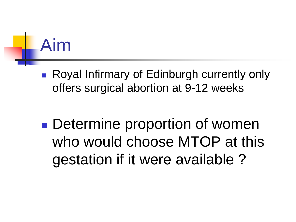# Aim

- Royal Infirmary of Edinburgh currently only offers surgical abortion at 9-12 weeks
- **Determine proportion of women** who would choose MTOP at this gestation if it were available ?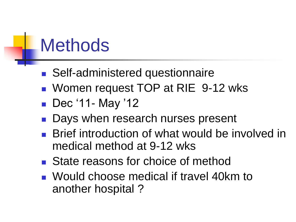#### **Methods**

- Self-administered questionnaire
- **Nomen request TOP at RIE 9-12 wks**
- Dec '11- May '12
- Days when research nurses present
- Brief introduction of what would be involved in medical method at 9-12 wks
- State reasons for choice of method
- **Nould choose medical if travel 40km to** another hospital ?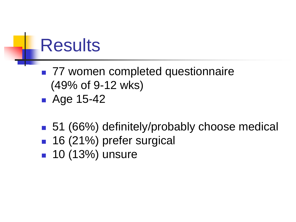#### **Results**

- 77 women completed questionnaire (49% of 9-12 wks)
- **Age 15-42**
- 51 (66%) definitely/probably choose medical
- 16 (21%) prefer surgical
- **10 (13%) unsure**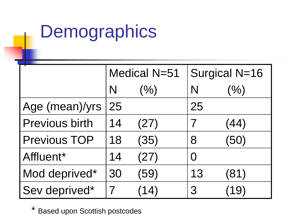## **Demographics**

|                       | <b>Medical N=51</b> |      | Surgical N=16 |      |
|-----------------------|---------------------|------|---------------|------|
|                       | N                   | (%)  | N             | (%)  |
| Age (mean)/yrs        | 25                  |      | 25            |      |
| <b>Previous birth</b> | 14                  | (27) |               | (44) |
| <b>Previous TOP</b>   | 18                  | (35) | 8             | (50) |
| Affluent*             | 14                  | (27) | $\bigcap$     |      |
| Mod deprived*         | 30                  | (59) | 13            | (81) |
| Sev deprived*         |                     | (14) | 3             | 19)  |

\* Based upon Scottish postcodes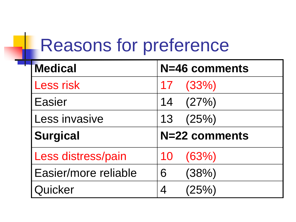## Reasons for preference

÷

| <b>Medical</b>       | N=46 comments |
|----------------------|---------------|
| <b>Less risk</b>     | (33%)<br>17   |
| <b>Easier</b>        | (27%)<br>14   |
| Less invasive        | 13(25%)       |
| <b>Surgical</b>      | N=22 comments |
| Less distress/pain   | (63%)<br>10   |
| Easier/more reliable | (38%)<br>6    |
| Quicker              | (25%)<br>4    |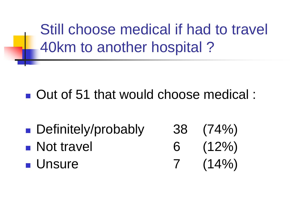Still choose medical if had to travel 40km to another hospital ?

■ Out of 51 that would choose medical :

- Definitely/probably 38 (74%) • Not travel 6 (12%)
- Unsure 7 (14%)
-